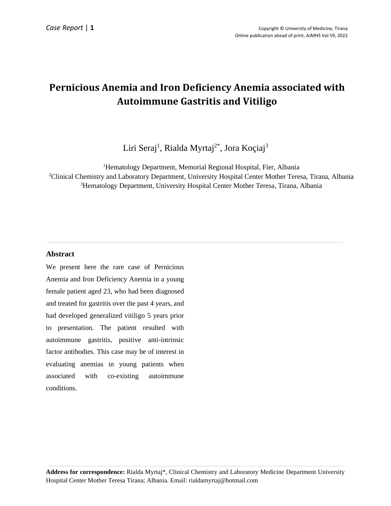# **Pernicious Anemia and Iron Deficiency Anemia associated with Autoimmune Gastritis and Vitiligo**

Liri Seraj<sup>1</sup>, Rialda Myrtaj<sup>2\*</sup>, Jora Koçiaj<sup>3</sup>

<sup>1</sup>Hematology Department, Memorial Regional Hospital, Fier, Albania <sup>2</sup>Clinical Chemistry and Laboratory Department, University Hospital Center Mother Teresa, Tirana, Albania <sup>3</sup>Hematology Department, University Hospital Center Mother Teresa, Tirana, Albania

# **Abstract**

We present here the rare case of Pernicious Anemia and Iron Deficiency Anemia in a young female patient aged 23, who had been diagnosed and treated for gastritis over the past 4 years, and had developed generalized vitiligo 5 years prior to presentation. The patient resulted with autoimmune gastritis, positive anti-intrinsic factor antibodies. This case may be of interest in evaluating anemias in young patients when associated with co-existing autoimmune conditions.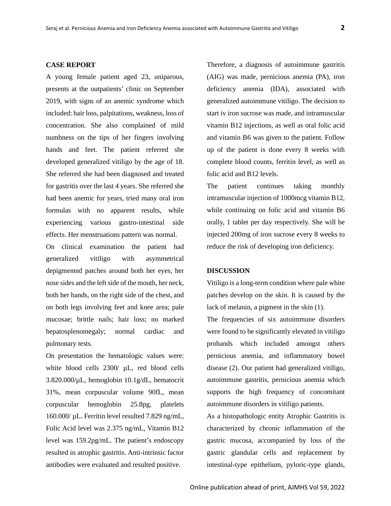#### **CASE REPORT**

A young female patient aged 23, uniparous, presents at the outpatients' clinic on September 2019, with signs of an anemic syndrome which included: hair loss, palpitations, weakness, loss of concentration. She also complained of mild numbness on the tips of her fingers involving hands and feet. The patient referred she developed generalized vitiligo by the age of 18. She referred she had been diagnosed and treated for gastritis over the last 4 years. She referred she had been anemic for years, tried many oral iron formulas with no apparent results, while experiencing various gastro-intestinal side effects. Her menstruations pattern was normal.

On clinical examination the patient had generalized vitiligo with asymmetrical depigmented patches around both her eyes, her nose sides and the left side of the mouth, her neck, both her hands, on the right side of the chest, and on both legs involving feet and knee area; pale mucosae; brittle nails; hair loss; no marked hepatosplenomegaly; normal cardiac and pulmonary tests.

On presentation the hematologic values were: white blood cells 2300/  $\mu$ L, red blood cells 3.820.000/µL, hemoglobin 10.1g/dL, hematocrit 31%, mean corpuscular volume 90fL, mean corpuscular hemoglobin 25.8pg, platelets 160.000/ µL. Ferritin level resulted 7.829 ng/mL, Folic Acid level was 2.375 ng/mL, Vitamin B12 level was 159.2pg/mL. The patient's endoscopy resulted in atrophic gastritis. Anti-intrinsic factor antibodies were evaluated and resulted positive.

Therefore, a diagnosis of autoimmune gastritis (AIG) was made, pernicious anemia (PA), iron deficiency anemia (IDA), associated with generalized autoimmune vitiligo. The decision to start iv iron sucrose was made, and intramuscular vitamin B12 injections, as well as oral folic acid and vitamin B6 was given to the patient. Follow up of the patient is done every 8 weeks with complete blood counts, ferritin level, as well as folic acid and B12 levels.

The patient continues taking monthly intramuscular injection of 1000mcg vitamin B12, while continuing on folic acid and vitamin B6 orally, 1 tablet per day respectively. She will be injected 200mg of iron sucrose every 8 weeks to reduce the risk of developing iron deficiency.

## **DISCUSSION**

Vitiligo is a long-term condition where pale white patches develop on the skin. It is caused by the lack of melanin, a pigment in the skin (1).

The frequencies of six autoimmune disorders were found to be significantly elevated in vitiligo probands which included amongst others pernicious anemia, and inflammatory bowel disease (2). Our patient had generalized vitiligo, autoimmune gastritis, pernicious anemia which supports the high frequency of concomitant autoimmune disorders in vitiligo patients.

As a histopathologic entity Atrophic Gastritis is characterized by chronic inflammation of the gastric mucosa, accompanied by loss of the gastric glandular cells and replacement by intestinal-type epithelium, pyloric-type glands,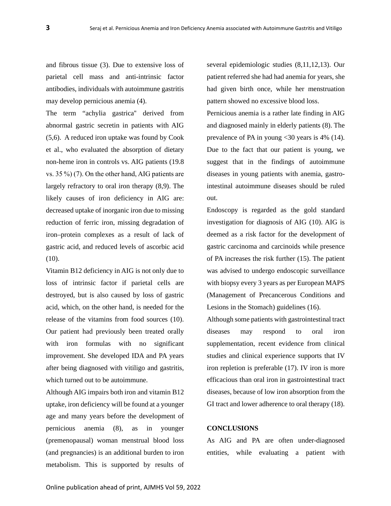and fibrous tissue (3). Due to extensive loss of parietal cell mass and anti-intrinsic factor antibodies, individuals with autoimmune gastritis may develop pernicious anemia (4).

The term "achylia gastrica'' derived from abnormal gastric secretin in patients with AIG (5,6). A reduced iron uptake was found by Cook et al., who evaluated the absorption of dietary non-heme iron in controls vs. AIG patients (19.8 vs. 35 %) (7). On the other hand, AIG patients are largely refractory to oral iron therapy (8,9). The likely causes of iron deficiency in AIG are: decreased uptake of inorganic iron due to missing reduction of ferric iron, missing degradation of iron–protein complexes as a result of lack of gastric acid, and reduced levels of ascorbic acid (10).

Vitamin B12 deficiency in AIG is not only due to loss of intrinsic factor if parietal cells are destroyed, but is also caused by loss of gastric acid, which, on the other hand, is needed for the release of the vitamins from food sources (10). Our patient had previously been treated orally with iron formulas with no significant improvement. She developed IDA and PA years after being diagnosed with vitiligo and gastritis, which turned out to be autoimmune.

Although AIG impairs both iron and vitamin B12 uptake, iron deficiency will be found at a younger age and many years before the development of pernicious anemia (8), as in younger (premenopausal) woman menstrual blood loss (and pregnancies) is an additional burden to iron metabolism. This is supported by results of

several epidemiologic studies (8,11,12,13). Our patient referred she had had anemia for years, she had given birth once, while her menstruation pattern showed no excessive blood loss.

Pernicious anemia is a rather late finding in AIG and diagnosed mainly in elderly patients (8). The prevalence of PA in young <30 years is 4% (14). Due to the fact that our patient is young, we suggest that in the findings of autoimmune diseases in young patients with anemia, gastrointestinal autoimmune diseases should be ruled out.

Endoscopy is regarded as the gold standard investigation for diagnosis of AIG (10). AIG is deemed as a risk factor for the development of gastric carcinoma and carcinoids while presence of PA increases the risk further (15). The patient was advised to undergo endoscopic surveillance with biopsy every 3 years as per European MAPS (Management of Precancerous Conditions and Lesions in the Stomach) guidelines (16).

Although some patients with gastrointestinal tract diseases may respond to oral iron supplementation, recent evidence from clinical studies and clinical experience supports that IV iron repletion is preferable (17). IV iron is more efficacious than oral iron in gastrointestinal tract diseases, because of low iron absorption from the GI tract and lower adherence to oral therapy (18).

#### **CONCLUSIONS**

As AIG and PA are often under-diagnosed entities, while evaluating a patient with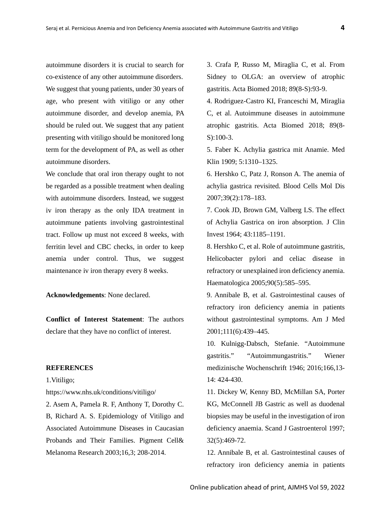autoimmune disorders it is crucial to search for co-existence of any other autoimmune disorders. We suggest that young patients, under 30 years of age, who present with vitiligo or any other autoimmune disorder, and develop anemia, PA should be ruled out. We suggest that any patient presenting with vitiligo should be monitored long term for the development of PA, as well as other autoimmune disorders.

We conclude that oral iron therapy ought to not be regarded as a possible treatment when dealing with autoimmune disorders. Instead, we suggest iv iron therapy as the only IDA treatment in autoimmune patients involving gastrointestinal tract. Follow up must not exceed 8 weeks, with ferritin level and CBC checks, in order to keep anemia under control. Thus, we suggest maintenance iv iron therapy every 8 weeks.

**Acknowledgements**: None declared.

**Conflict of Interest Statement**: The authors declare that they have no conflict of interest.

### **REFERENCES**

1.Vitiligo;

https://www.nhs.uk/conditions/vitiligo/

2. Asem A, Pamela R. F, Anthony T, Dorothy C. B, Richard A. S. Epidemiology of Vitiligo and Associated Autoimmune Diseases in Caucasian Probands and Their Families. Pigment Cell& Melanoma Research 2003;16,3; 208-2014.

3. Crafa P, Russo M, Miraglia C, et al. From Sidney to OLGA: an overview of atrophic gastritis. Acta Biomed 2018; 89(8-S):93-9.

4. Rodriguez-Castro KI, Franceschi M, Miraglia C, et al. Autoimmune diseases in autoimmune atrophic gastritis. Acta Biomed 2018; 89(8- S):100-3.

5. Faber K. Achylia gastrica mit Anamie. Med Klin 1909; 5:1310–1325.

6. Hershko C, Patz J, Ronson A. The anemia of achylia gastrica revisited. Blood Cells Mol Dis 2007;39(2):178–183.

7. Cook JD, Brown GM, Valberg LS. The effect of Achylia Gastrica on iron absorption. J Clin Invest 1964; 43:1185–1191.

8. Hershko C, et al. Role of autoimmune gastritis, Helicobacter pylori and celiac disease in refractory or unexplained iron deficiency anemia. Haematologica 2005;90(5):585–595.

9. Annibale B, et al. Gastrointestinal causes of refractory iron deficiency anemia in patients without gastrointestinal symptoms. Am J Med 2001;111(6):439–445.

10. Kulnigg-Dabsch, Stefanie. "Autoimmune gastritis." "Autoimmungastritis." Wiener medizinische Wochenschrift 1946; 2016;166,13- 14: 424-430.

11. Dickey W, Kenny BD, McMillan SA, Porter KG, McConnell JB Gastric as well as duodenal biopsies may be useful in the investigation of iron deficiency anaemia. Scand J Gastroenterol 1997; 32(5):469-72.

12. Annibale B, et al. Gastrointestinal causes of refractory iron deficiency anemia in patients